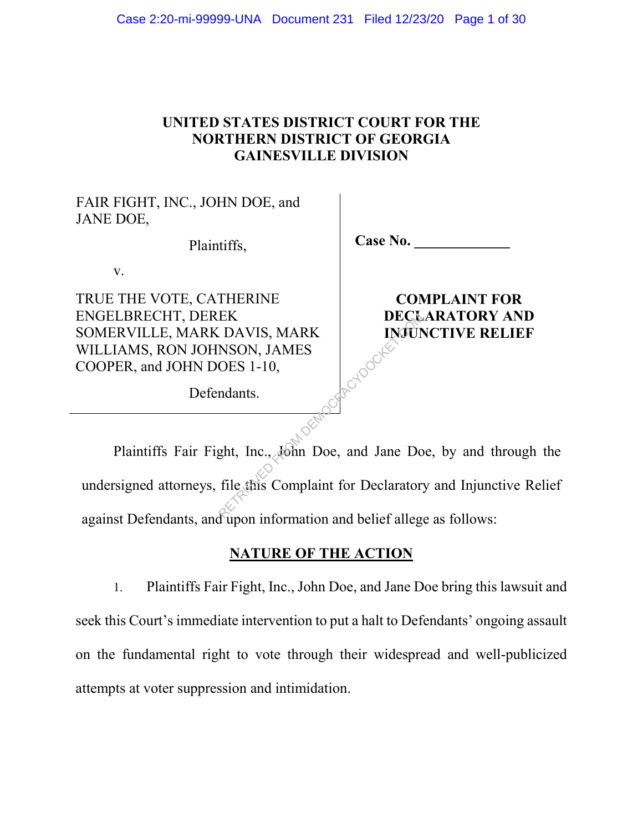# **UNITED STATES DISTRICT COURT FOR THE NORTHERN DISTRICT OF GEORGIA GAINESVILLE DIVISION**

FAIR FIGHT, INC., JOHN DOE, and JANE DOE,

Plaintiffs,

 **Case No. \_\_\_\_\_\_\_\_\_\_\_\_\_**

v.

TRUE THE VOTE, CATHERINE ENGELBRECHT, DEREK SOMERVILLE, MARK DAVIS, MARK WILLIAMS, RON JOHNSON, JAMES COOPER, and JOHN DOES 1-10,

**COMPLAINT FOR DECLARATORY AND INJUNCTIVE RELIEF**

Defendants.

Plaintiffs Fair Fight, Inc., John Doe, and Jane Doe, by and through the undersigned attorneys, file this Complaint for Declaratory and Injunctive Relief against Defendants, and upon information and belief allege as follows: EK<br>
DAVIS, MARK<br>
NSON, JAMES<br>
OES 1-10,<br>
ndants.<br>
ght, Inc., John Doe, and Jane Do<br>
file this Complaint for Declarator.

#### **NATURE OF THE ACTION**

1. Plaintiffs Fair Fight, Inc., John Doe, and Jane Doe bring this lawsuit and seek this Court's immediate intervention to put a halt to Defendants' ongoing assault on the fundamental right to vote through their widespread and well-publicized attempts at voter suppression and intimidation.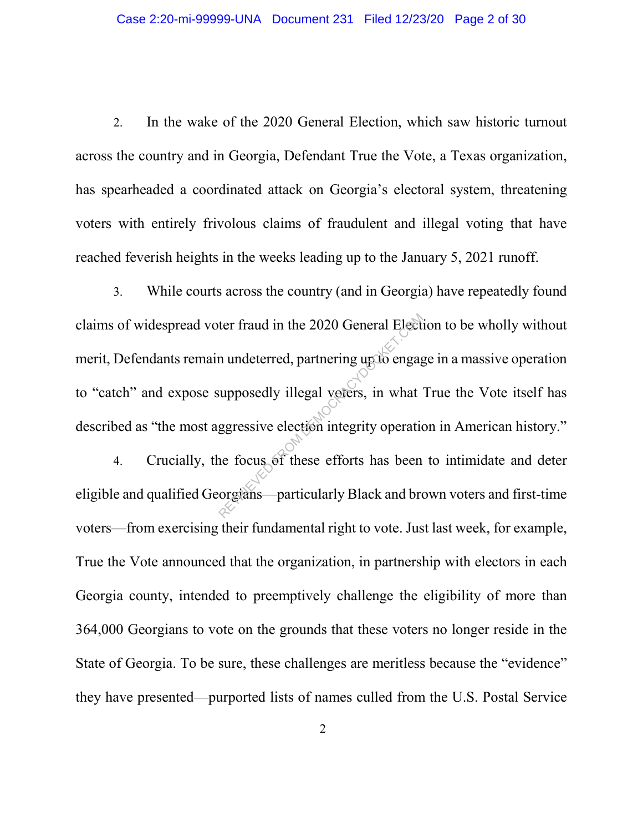2. In the wake of the 2020 General Election, which saw historic turnout across the country and in Georgia, Defendant True the Vote, a Texas organization, has spearheaded a coordinated attack on Georgia's electoral system, threatening voters with entirely frivolous claims of fraudulent and illegal voting that have reached feverish heights in the weeks leading up to the January 5, 2021 runoff.

3. While courts across the country (and in Georgia) have repeatedly found claims of widespread voter fraud in the 2020 General Election to be wholly without merit, Defendants remain undeterred, partnering up to engage in a massive operation to "catch" and expose supposedly illegal voters, in what True the Vote itself has described as "the most aggressive election integrity operation in American history." ter fraud in the 2020 General Election<br>
m undeterred, partnering up to engage<br>
supposedly illegal voters, in what<br>
ggressive election integrity operation<br>
ne focus of these efforts has been<br>
organs—particularly Black and b

4. Crucially, the focus of these efforts has been to intimidate and deter eligible and qualified Georgians—particularly Black and brown voters and first-time voters—from exercising their fundamental right to vote. Just last week, for example, True the Vote announced that the organization, in partnership with electors in each Georgia county, intended to preemptively challenge the eligibility of more than 364,000 Georgians to vote on the grounds that these voters no longer reside in the State of Georgia. To be sure, these challenges are meritless because the "evidence" they have presented—purported lists of names culled from the U.S. Postal Service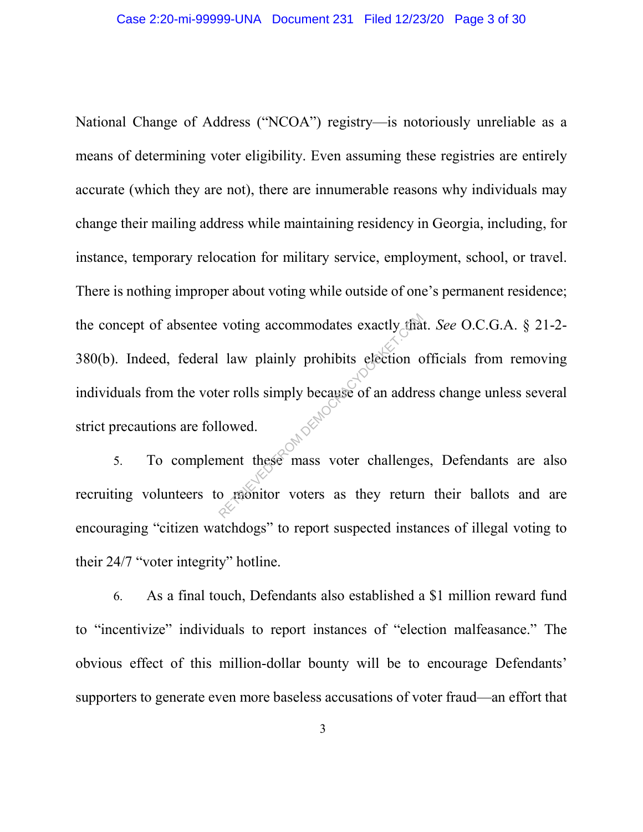National Change of Address ("NCOA") registry—is notoriously unreliable as a means of determining voter eligibility. Even assuming these registries are entirely accurate (which they are not), there are innumerable reasons why individuals may change their mailing address while maintaining residency in Georgia, including, for instance, temporary relocation for military service, employment, school, or travel. There is nothing improper about voting while outside of one's permanent residence; the concept of absentee voting accommodates exactly that. *See* O.C.G.A. § 21-2- 380(b). Indeed, federal law plainly prohibits election officials from removing individuals from the voter rolls simply because of an address change unless several strict precautions are followed. voting accommodates exactly that<br>law plainly prohibits election corrolls simply because of an addre<br>lowed.<br>ment these mass voter challenge<br>o raonitor voters as they return

5. To complement these mass voter challenges, Defendants are also recruiting volunteers to monitor voters as they return their ballots and are encouraging "citizen watchdogs" to report suspected instances of illegal voting to their 24/7 "voter integrity" hotline.

6. As a final touch, Defendants also established a \$1 million reward fund to "incentivize" individuals to report instances of "election malfeasance." The obvious effect of this million-dollar bounty will be to encourage Defendants' supporters to generate even more baseless accusations of voter fraud—an effort that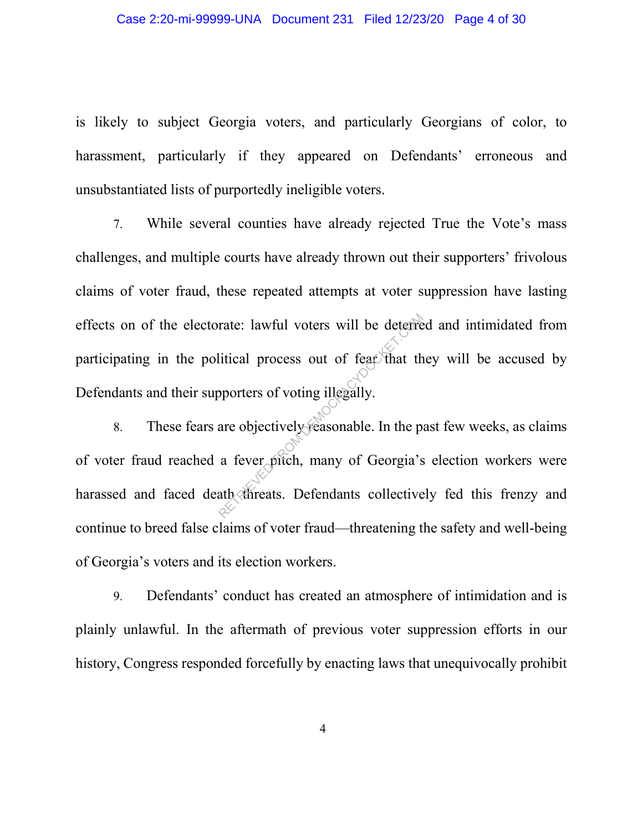is likely to subject Georgia voters, and particularly Georgians of color, to harassment, particularly if they appeared on Defendants' erroneous and unsubstantiated lists of purportedly ineligible voters.

7. While several counties have already rejected True the Vote's mass challenges, and multiple courts have already thrown out their supporters' frivolous claims of voter fraud, these repeated attempts at voter suppression have lasting effects on of the electorate: lawful voters will be deterred and intimidated from participating in the political process out of fear that they will be accused by Defendants and their supporters of voting illegally.

8. These fears are objectively reasonable. In the past few weeks, as claims of voter fraud reached a fever pitch, many of Georgia's election workers were harassed and faced death threats. Defendants collectively fed this frenzy and continue to breed false claims of voter fraud—threatening the safety and well-being of Georgia's voters and its election workers. rate: lawful voters will be deterred<br>itical process out of feat that the<br>pporters of voting illegally.<br>are objectively reasonable. In the p<br>a fever pitch, many of Georgia's<br>ath chireats. Defendants collective

9. Defendants' conduct has created an atmosphere of intimidation and is plainly unlawful. In the aftermath of previous voter suppression efforts in our history, Congress responded forcefully by enacting laws that unequivocally prohibit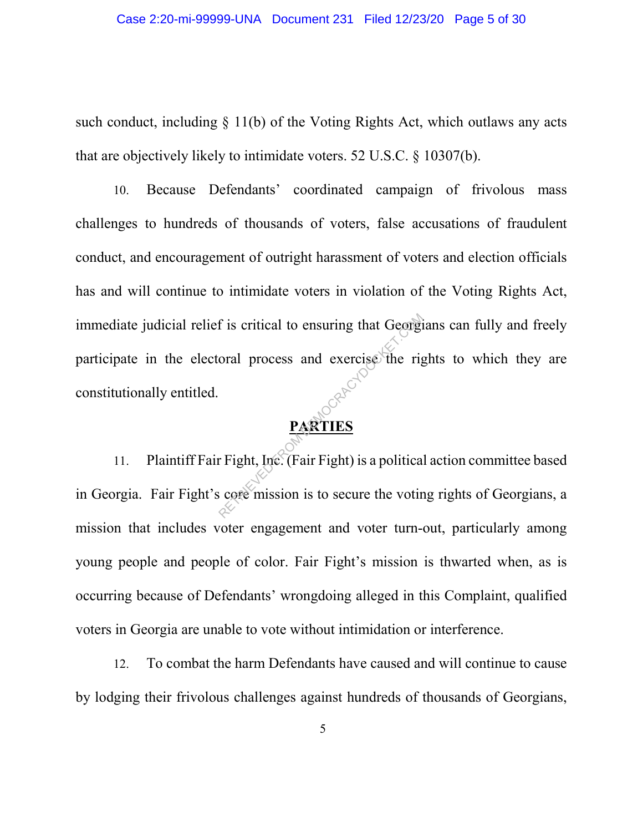such conduct, including § 11(b) of the Voting Rights Act, which outlaws any acts that are objectively likely to intimidate voters. 52 U.S.C. § 10307(b).

10. Because Defendants' coordinated campaign of frivolous mass challenges to hundreds of thousands of voters, false accusations of fraudulent conduct, and encouragement of outright harassment of voters and election officials has and will continue to intimidate voters in violation of the Voting Rights Act, immediate judicial relief is critical to ensuring that Georgians can fully and freely participate in the electoral process and exercise the rights to which they are constitutionally entitled. F is critical to ensuring that Georgi<br>
oral process and exercise the right<br>
represents the result of the right<br>
represents the Crain Fight is a political<br>
core mission is to secure the voting

# **PARTIES**

11. Plaintiff Fair Fight, Inc. (Fair Fight) is a political action committee based in Georgia. Fair Fight's core mission is to secure the voting rights of Georgians, a mission that includes voter engagement and voter turn-out, particularly among young people and people of color. Fair Fight's mission is thwarted when, as is occurring because of Defendants' wrongdoing alleged in this Complaint, qualified voters in Georgia are unable to vote without intimidation or interference.

12. To combat the harm Defendants have caused and will continue to cause by lodging their frivolous challenges against hundreds of thousands of Georgians,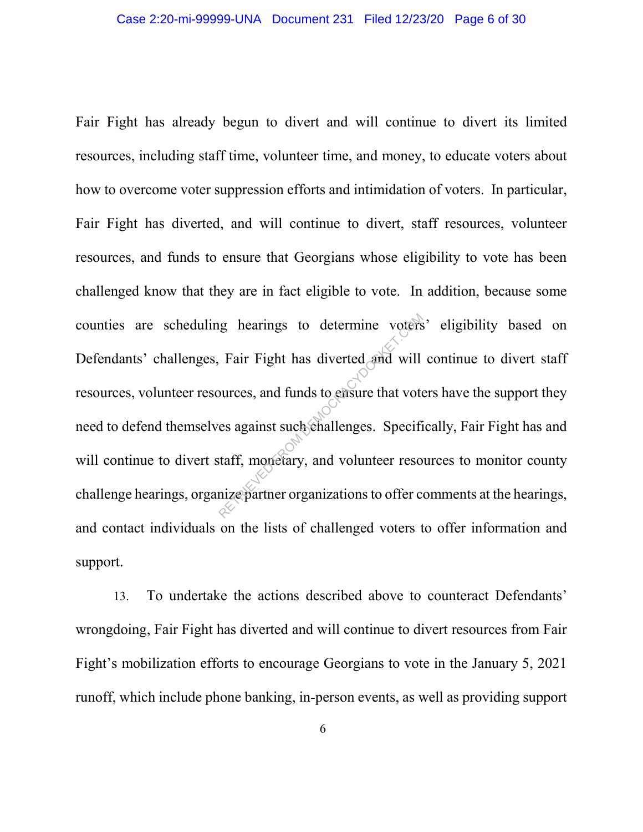Fair Fight has already begun to divert and will continue to divert its limited resources, including staff time, volunteer time, and money, to educate voters about how to overcome voter suppression efforts and intimidation of voters. In particular, Fair Fight has diverted, and will continue to divert, staff resources, volunteer resources, and funds to ensure that Georgians whose eligibility to vote has been challenged know that they are in fact eligible to vote. In addition, because some counties are scheduling hearings to determine voters' eligibility based on Defendants' challenges, Fair Fight has diverted and will continue to divert staff resources, volunteer resources, and funds to ensure that voters have the support they need to defend themselves against such challenges. Specifically, Fair Fight has and will continue to divert staff, monetary, and volunteer resources to monitor county challenge hearings, organize partner organizations to offer comments at the hearings, and contact individuals on the lists of challenged voters to offer information and support. requires to determine voters<br>Fair Fight has diverted and will<br>burces, and funds to ensure that vote<br>es against such challenges. Specificant<br>staff, monetary, and volunteer reso

13. To undertake the actions described above to counteract Defendants' wrongdoing, Fair Fight has diverted and will continue to divert resources from Fair Fight's mobilization efforts to encourage Georgians to vote in the January 5, 2021 runoff, which include phone banking, in-person events, as well as providing support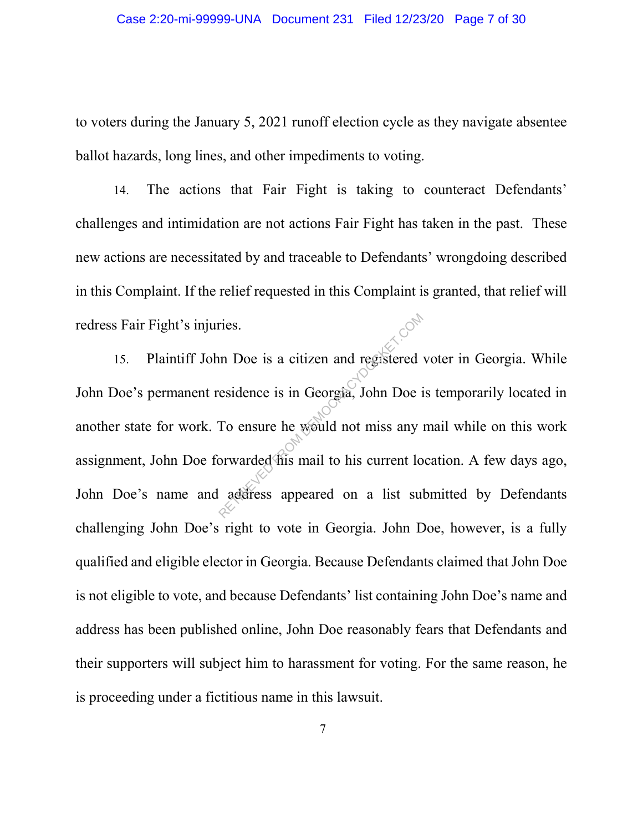to voters during the January 5, 2021 runoff election cycle as they navigate absentee ballot hazards, long lines, and other impediments to voting.

14. The actions that Fair Fight is taking to counteract Defendants' challenges and intimidation are not actions Fair Fight has taken in the past. These new actions are necessitated by and traceable to Defendants' wrongdoing described in this Complaint. If the relief requested in this Complaint is granted, that relief will redress Fair Fight's injuries.

15. Plaintiff John Doe is a citizen and registered voter in Georgia. While John Doe's permanent residence is in Georgia, John Doe is temporarily located in another state for work. To ensure he would not miss any mail while on this work assignment, John Doe forwarded his mail to his current location. A few days ago, John Doe's name and address appeared on a list submitted by Defendants challenging John Doe's right to vote in Georgia. John Doe, however, is a fully qualified and eligible elector in Georgia. Because Defendants claimed that John Doe is not eligible to vote, and because Defendants' list containing John Doe's name and address has been published online, John Doe reasonably fears that Defendants and their supporters will subject him to harassment for voting. For the same reason, he is proceeding under a fictitious name in this lawsuit. The same of the same of the set of the set of the set of the set of the set of the set of the set of the set of the set of the set of the set of the set of the set of the set of the set of the set of the set of the set of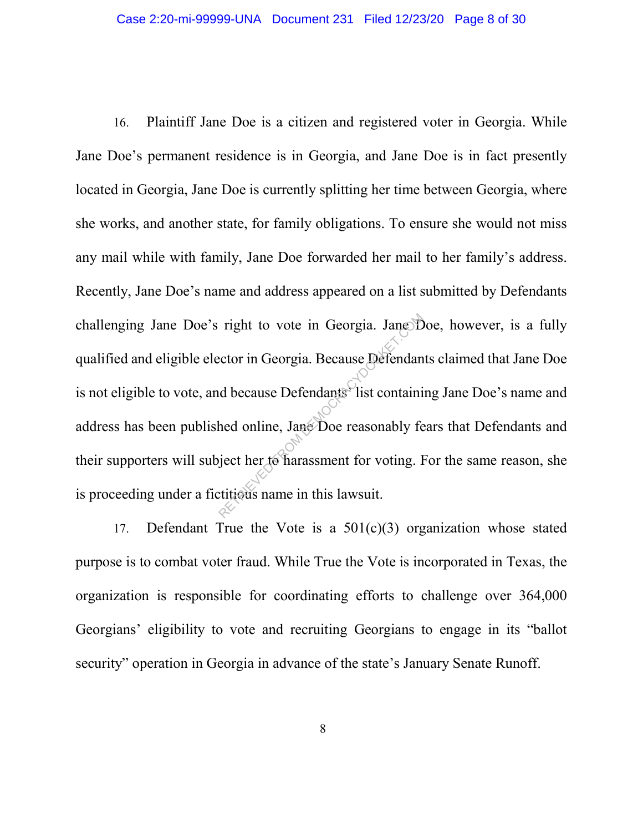16. Plaintiff Jane Doe is a citizen and registered voter in Georgia. While Jane Doe's permanent residence is in Georgia, and Jane Doe is in fact presently located in Georgia, Jane Doe is currently splitting her time between Georgia, where she works, and another state, for family obligations. To ensure she would not miss any mail while with family, Jane Doe forwarded her mail to her family's address. Recently, Jane Doe's name and address appeared on a list submitted by Defendants challenging Jane Doe's right to vote in Georgia. Jane Doe, however, is a fully qualified and eligible elector in Georgia. Because Defendants claimed that Jane Doe is not eligible to vote, and because Defendants' list containing Jane Doe's name and address has been published online, Jane Doe reasonably fears that Defendants and their supporters will subject her to harassment for voting. For the same reason, she is proceeding under a fictitious name in this lawsuit. right to vote in Georgia. JaneSD<br>ector in Georgia. Because Defendant<br>d because Defendants<sup>2</sup> list containi<br>hed online, Jane Doe reasonably fe<br>giect her to harassment for voting. I<br>titicus name in this lawsuit.

17. Defendant True the Vote is a  $501(c)(3)$  organization whose stated purpose is to combat voter fraud. While True the Vote is incorporated in Texas, the organization is responsible for coordinating efforts to challenge over 364,000 Georgians' eligibility to vote and recruiting Georgians to engage in its "ballot security" operation in Georgia in advance of the state's January Senate Runoff.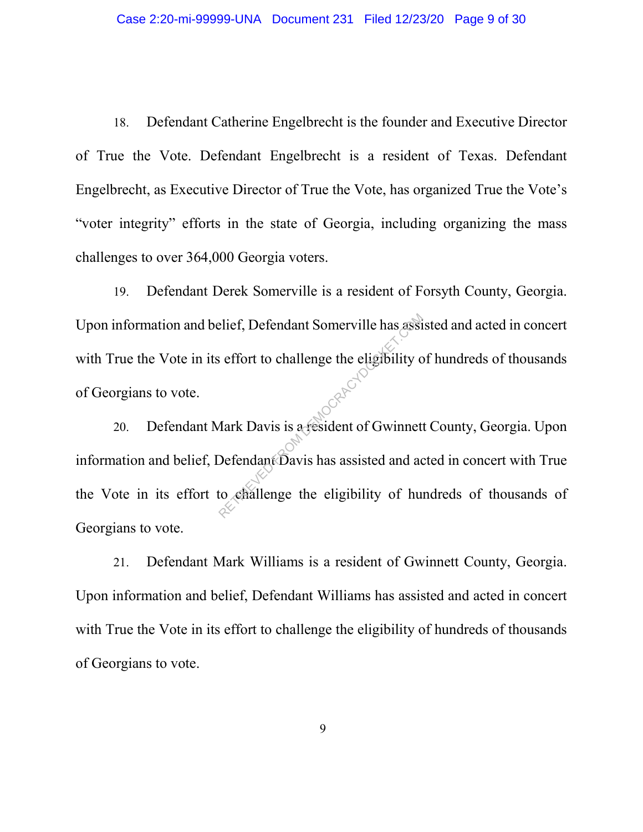18. Defendant Catherine Engelbrecht is the founder and Executive Director of True the Vote. Defendant Engelbrecht is a resident of Texas. Defendant Engelbrecht, as Executive Director of True the Vote, has organized True the Vote's "voter integrity" efforts in the state of Georgia, including organizing the mass challenges to over 364,000 Georgia voters.

19. Defendant Derek Somerville is a resident of Forsyth County, Georgia. Upon information and belief, Defendant Somerville has assisted and acted in concert with True the Vote in its effort to challenge the eligibility of hundreds of thousands of Georgians to vote.

20. Defendant Mark Davis is a resident of Gwinnett County, Georgia. Upon information and belief, Defendant Davis has assisted and acted in concert with True the Vote in its effort to challenge the eligibility of hundreds of thousands of Georgians to vote. Reflect, Defendant Somerville has assisted and action of Gwinner Contract Defendant Davis has assisted and action of Gwinner

21. Defendant Mark Williams is a resident of Gwinnett County, Georgia. Upon information and belief, Defendant Williams has assisted and acted in concert with True the Vote in its effort to challenge the eligibility of hundreds of thousands of Georgians to vote.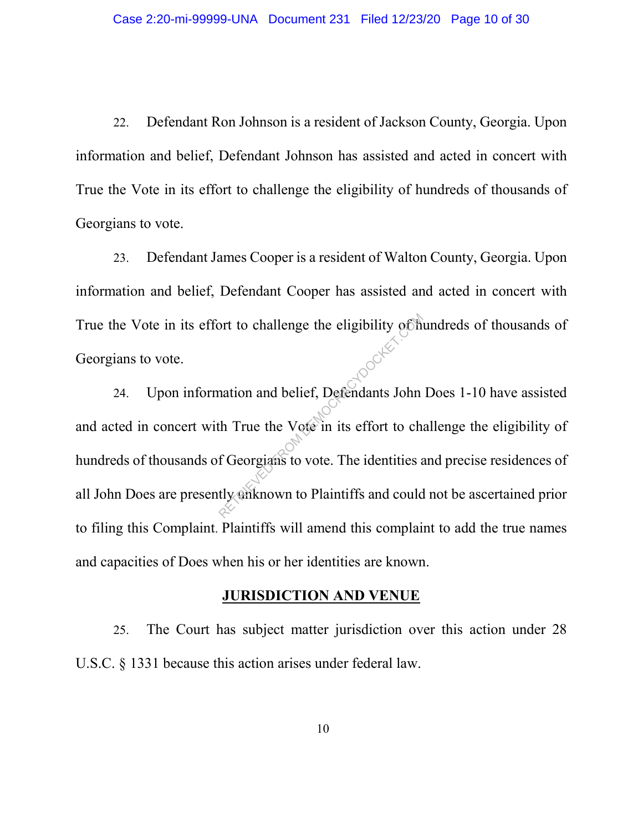22. Defendant Ron Johnson is a resident of Jackson County, Georgia. Upon information and belief, Defendant Johnson has assisted and acted in concert with True the Vote in its effort to challenge the eligibility of hundreds of thousands of Georgians to vote.

23. Defendant James Cooper is a resident of Walton County, Georgia. Upon information and belief, Defendant Cooper has assisted and acted in concert with True the Vote in its effort to challenge the eligibility of hundreds of thousands of Georgians to vote.

24. Upon information and belief, Defendants John Does 1-10 have assisted and acted in concert with True the Vote in its effort to challenge the eligibility of hundreds of thousands of Georgians to vote. The identities and precise residences of all John Does are presently unknown to Plaintiffs and could not be ascertained prior to filing this Complaint. Plaintiffs will amend this complaint to add the true names and capacities of Does when his or her identities are known. of the cligibility of the cligibility of the nation and belief, Defendants John<br>th True the Vote in its effort to che of Georgians to vote. The identities at the set of the set of the set of the set of the set of the set o

#### **JURISDICTION AND VENUE**

25. The Court has subject matter jurisdiction over this action under 28 U.S.C. § 1331 because this action arises under federal law.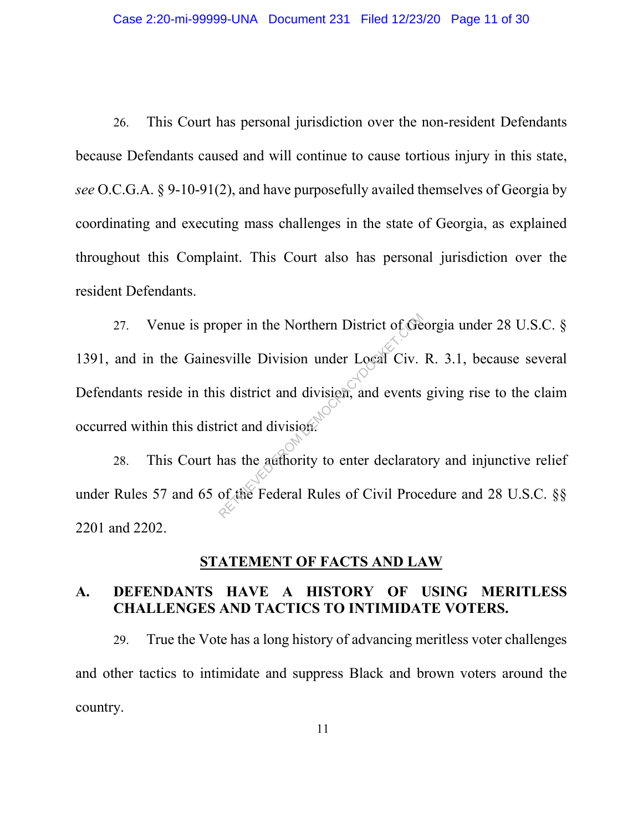26. This Court has personal jurisdiction over the non-resident Defendants because Defendants caused and will continue to cause tortious injury in this state, *see* O.C.G.A. § 9-10-91(2), and have purposefully availed themselves of Georgia by coordinating and executing mass challenges in the state of Georgia, as explained throughout this Complaint. This Court also has personal jurisdiction over the resident Defendants.

27. Venue is proper in the Northern District of Georgia under 28 U.S.C. § 1391, and in the Gainesville Division under Local Civ. R. 3.1, because several Defendants reside in this district and division, and events giving rise to the claim occurred within this district and division. Solution Index Local Civenside System District of Geneville Division under Local Civenside System Civenside System Civenside System Civenside System Civenside System Civenside System Civenside System Civenside System Civen

28. This Court has the authority to enter declaratory and injunctive relief under Rules 57 and 65 of the Federal Rules of Civil Procedure and 28 U.S.C. §§ 2201 and 2202.

#### **STATEMENT OF FACTS AND LAW**

#### **A. DEFENDANTS HAVE A HISTORY OF USING MERITLESS CHALLENGES AND TACTICS TO INTIMIDATE VOTERS.**

29. True the Vote has a long history of advancing meritless voter challenges and other tactics to intimidate and suppress Black and brown voters around the country.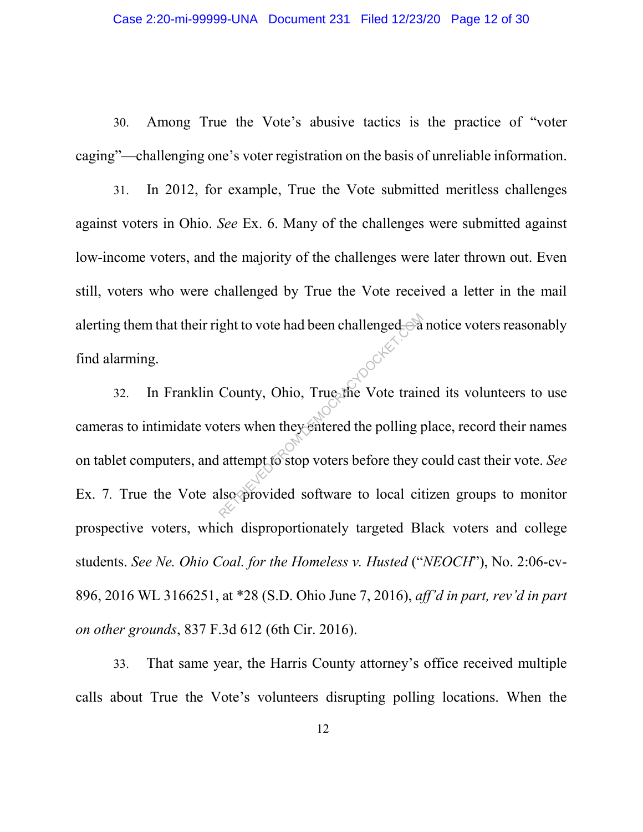30. Among True the Vote's abusive tactics is the practice of "voter caging"—challenging one's voter registration on the basis of unreliable information.

31. In 2012, for example, True the Vote submitted meritless challenges against voters in Ohio. *See* Ex. 6. Many of the challenges were submitted against low-income voters, and the majority of the challenges were later thrown out. Even still, voters who were challenged by True the Vote received a letter in the mail alerting them that their right to vote had been challenged—a notice voters reasonably find alarming. <sup>32</sup> In Franklin County, Ohio, True the Vote trained its volunteers to use

cameras to intimidate voters when they entered the polling place, record their names on tablet computers, and attempt to stop voters before they could cast their vote. *See*  Ex. 7*.* True the Vote also provided software to local citizen groups to monitor prospective voters, which disproportionately targeted Black voters and college students. *See Ne. Ohio Coal. for the Homeless v. Husted* ("*NEOCH*"), No. 2:06-cv-896, 2016 WL 3166251, at \*28 (S.D. Ohio June 7, 2016), *aff'd in part, rev'd in part on other grounds*, 837 F.3d 612 (6th Cir. 2016). ght to vote had been challenged-3<br>County, Ohio, True the Vote train<br>ters when they entered the polling p<br>attempt to stop voters before they of<br>lso provided software to local cit

33. That same year, the Harris County attorney's office received multiple calls about True the Vote's volunteers disrupting polling locations. When the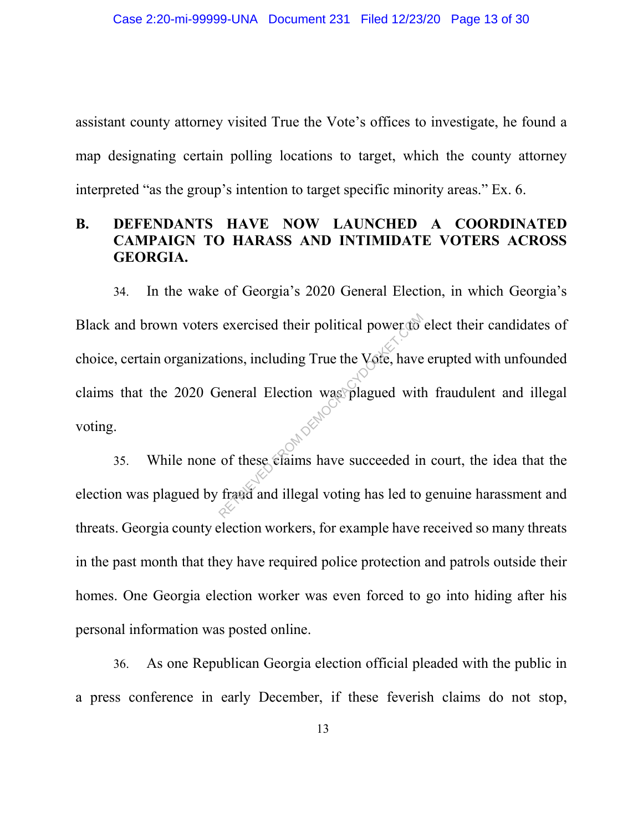assistant county attorney visited True the Vote's offices to investigate, he found a map designating certain polling locations to target, which the county attorney interpreted "as the group's intention to target specific minority areas." Ex. 6.

## **B. DEFENDANTS HAVE NOW LAUNCHED A COORDINATED CAMPAIGN TO HARASS AND INTIMIDATE VOTERS ACROSS GEORGIA.**

34. In the wake of Georgia's 2020 General Election, in which Georgia's Black and brown voters exercised their political power to elect their candidates of choice, certain organizations, including True the Vote, have erupted with unfounded claims that the 2020 General Election was plagued with fraudulent and illegal voting. exercised their political power to<br>ions, including True the Vote, have<br>feneral Election was plagued with<br>of these claims have succeeded in<br>fract and illegal voting has led to

35. While none of these claims have succeeded in court, the idea that the election was plagued by fraud and illegal voting has led to genuine harassment and threats. Georgia county election workers, for example have received so many threats in the past month that they have required police protection and patrols outside their homes. One Georgia election worker was even forced to go into hiding after his personal information was posted online.

36. As one Republican Georgia election official pleaded with the public in a press conference in early December, if these feverish claims do not stop,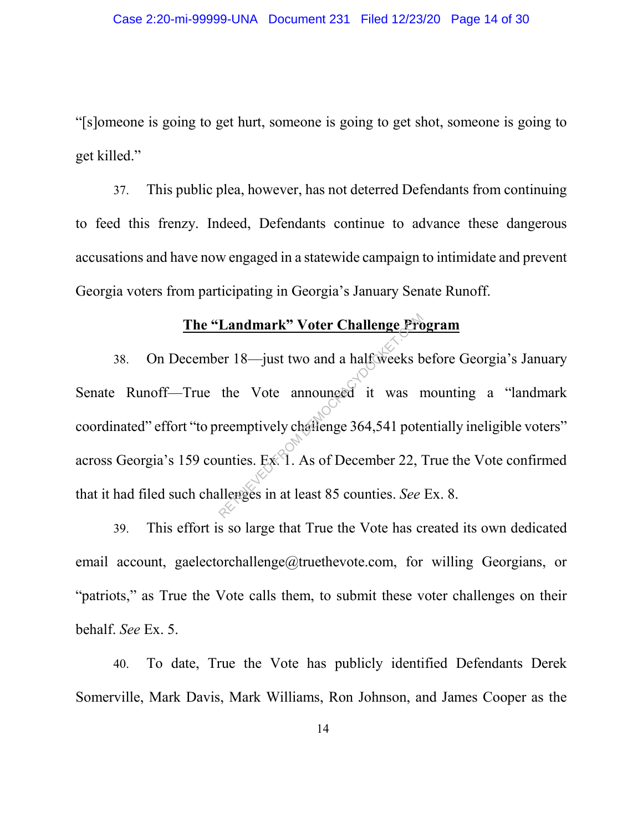"[s]omeone is going to get hurt, someone is going to get shot, someone is going to get killed."

37. This public plea, however, has not deterred Defendants from continuing to feed this frenzy. Indeed, Defendants continue to advance these dangerous accusations and have now engaged in a statewide campaign to intimidate and prevent Georgia voters from participating in Georgia's January Senate Runoff.

# **The "Landmark" Voter Challenge Program**

38. On December 18—just two and a half weeks before Georgia's January Senate Runoff—True the Vote announced it was mounting a "landmark coordinated" effort "to preemptively challenge 364,541 potentially ineligible voters" across Georgia's 159 counties. Ex. 1. As of December 22, True the Vote confirmed that it had filed such challenges in at least 85 counties. *See* Ex. 8. **Landmark" Voter Challenge Pro**<br>er 18—just two and a half weeks b<br>the Vote announced it was r<br>reemptively challenge 364,541 pote<br>unties. Ex. 1. As of December 22, J<br>llenges in at least 85 counties. See

39. This effort is so large that True the Vote has created its own dedicated email account, gaelectorchallenge@truethevote.com, for willing Georgians, or "patriots," as True the Vote calls them, to submit these voter challenges on their behalf. *See* Ex. 5.

40. To date, True the Vote has publicly identified Defendants Derek Somerville, Mark Davis, Mark Williams, Ron Johnson, and James Cooper as the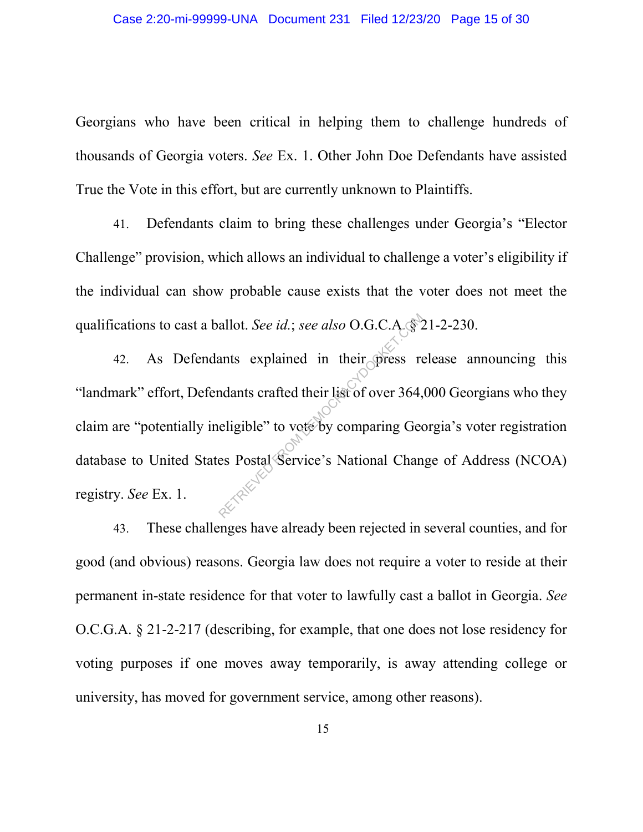Georgians who have been critical in helping them to challenge hundreds of thousands of Georgia voters. *See* Ex. 1. Other John Doe Defendants have assisted True the Vote in this effort, but are currently unknown to Plaintiffs.

41. Defendants claim to bring these challenges under Georgia's "Elector Challenge" provision, which allows an individual to challenge a voter's eligibility if the individual can show probable cause exists that the voter does not meet the

qualifications to cast a ballot. *See id.*; *see also* O.G.C.A. § 21-2-230.<br>
42. As Defendants explained in their press release an "landmark" effort, Defendants crafted their list of over 364,000 Georg<br>
claim are "potentia 42. As Defendants explained in their press release announcing this "landmark" effort, Defendants crafted their list of over 364,000 Georgians who they claim are "potentially ineligible" to vote by comparing Georgia's voter registration database to United States Postal Service's National Change of Address (NCOA) registry. *See* Ex. 1.

43. These challenges have already been rejected in several counties, and for good (and obvious) reasons. Georgia law does not require a voter to reside at their permanent in-state residence for that voter to lawfully cast a ballot in Georgia. *See* O.C.G.A. § 21-2-217 (describing, for example, that one does not lose residency for voting purposes if one moves away temporarily, is away attending college or university, has moved for government service, among other reasons).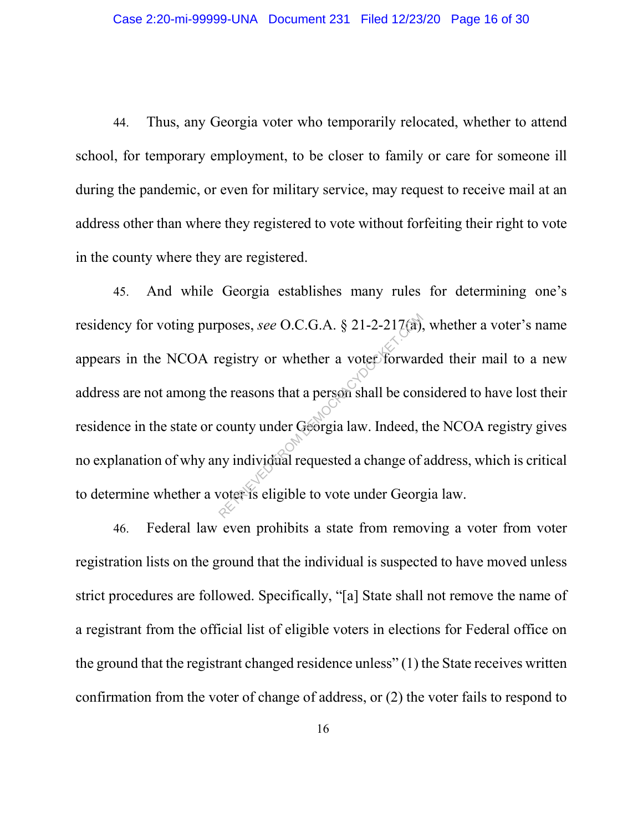44. Thus, any Georgia voter who temporarily relocated, whether to attend school, for temporary employment, to be closer to family or care for someone ill during the pandemic, or even for military service, may request to receive mail at an address other than where they registered to vote without forfeiting their right to vote in the county where they are registered.

45. And while Georgia establishes many rules for determining one's residency for voting purposes, *see* O.C.G.A. § 21-2-217(a), whether a voter's name appears in the NCOA registry or whether a voter forwarded their mail to a new address are not among the reasons that a person shall be considered to have lost their residence in the state or county under Georgia law. Indeed, the NCOA registry gives no explanation of why any individual requested a change of address, which is critical to determine whether a voter is eligible to vote under Georgia law. poses, see O.C.G.A. § 21-2-217(a),<br>egistry or whether a voter forward<br>ne reasons that a person shall be concounty under Georgia law. Indeed, to<br>ny individual requested a change of<br>voter is eligible to vote under Georg

46. Federal law even prohibits a state from removing a voter from voter registration lists on the ground that the individual is suspected to have moved unless strict procedures are followed. Specifically, "[a] State shall not remove the name of a registrant from the official list of eligible voters in elections for Federal office on the ground that the registrant changed residence unless" (1) the State receives written confirmation from the voter of change of address, or (2) the voter fails to respond to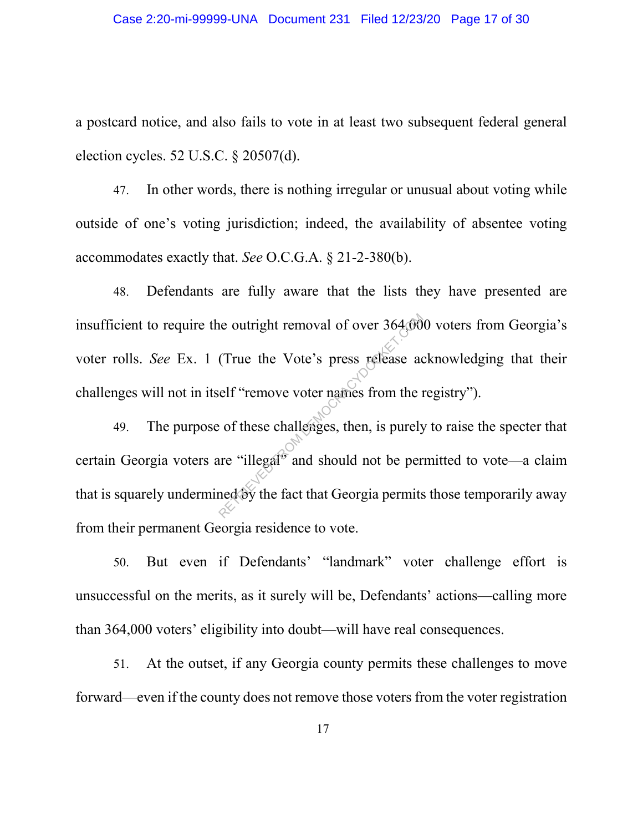a postcard notice, and also fails to vote in at least two subsequent federal general election cycles. 52 U.S.C. § 20507(d).

47. In other words, there is nothing irregular or unusual about voting while outside of one's voting jurisdiction; indeed, the availability of absentee voting accommodates exactly that. *See* O.C.G.A. § 21-2-380(b).

48. Defendants are fully aware that the lists they have presented are insufficient to require the outright removal of over 364,000 voters from Georgia's voter rolls. *See* Ex. 1 (True the Vote's press release acknowledging that their challenges will not in itself "remove voter names from the registry").

49. The purpose of these challenges, then, is purely to raise the specter that certain Georgia voters are "illegal" and should not be permitted to vote—a claim that is squarely undermined by the fact that Georgia permits those temporarily away from their permanent Georgia residence to vote. The outright removal of over 364,000<br>
(True the Vote's press release at<br>
elf "remove voter names from the per<br>
of these challenges, then, is purely<br>
ure "illegal" and should not be per<br>
ned by the fact that Georgia permits

50. But even if Defendants' "landmark" voter challenge effort is unsuccessful on the merits, as it surely will be, Defendants' actions—calling more than 364,000 voters' eligibility into doubt—will have real consequences.

51. At the outset, if any Georgia county permits these challenges to move forward—even if the county does not remove those voters from the voter registration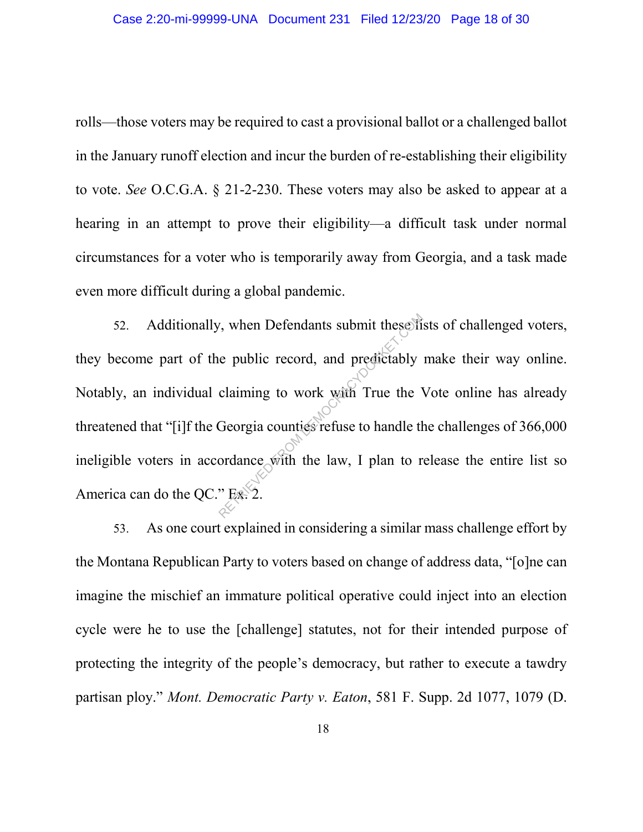rolls—those voters may be required to cast a provisional ballot or a challenged ballot in the January runoff election and incur the burden of re-establishing their eligibility to vote. *See* O.C.G.A. § 21-2-230. These voters may also be asked to appear at a hearing in an attempt to prove their eligibility—a difficult task under normal circumstances for a voter who is temporarily away from Georgia, and a task made even more difficult during a global pandemic.

52. Additionally, when Defendants submit these lists of challenged voters, they become part of the public record, and predictably make their way online. Notably, an individual claiming to work with True the Vote online has already threatened that "[i]f the Georgia counties refuse to handle the challenges of 366,000 ineligible voters in accordance with the law, I plan to release the entire list so America can do the QC." Ex. 2. Example 1.1 The public record, and predictably claiming to work with True the N<br>Georgia counties refuse to handle the ordance with the law, I plan to r<br> $\frac{1}{2}$  Ex. 2.

53. As one court explained in considering a similar mass challenge effort by the Montana Republican Party to voters based on change of address data, "[o]ne can imagine the mischief an immature political operative could inject into an election cycle were he to use the [challenge] statutes, not for their intended purpose of protecting the integrity of the people's democracy, but rather to execute a tawdry partisan ploy." *Mont. Democratic Party v. Eaton*, 581 F. Supp. 2d 1077, 1079 (D.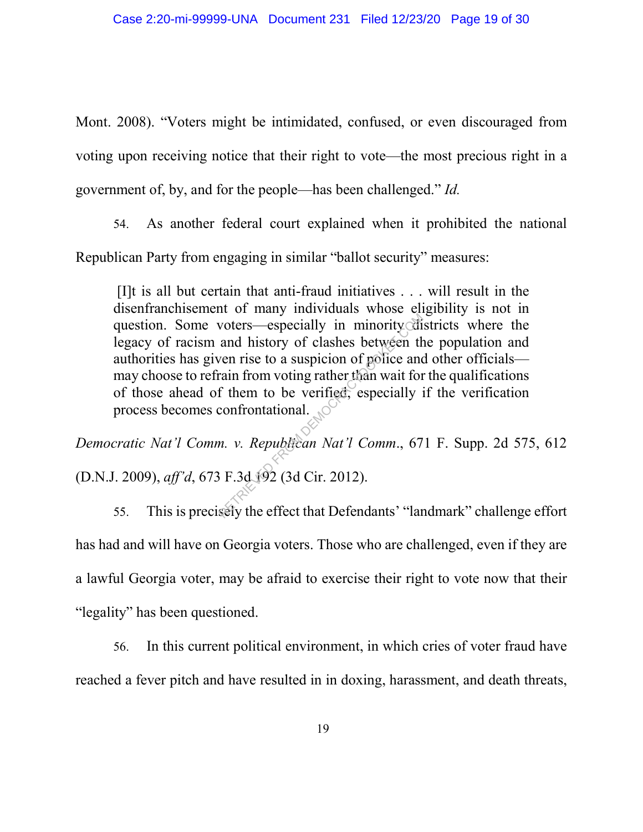Mont. 2008). "Voters might be intimidated, confused, or even discouraged from voting upon receiving notice that their right to vote—the most precious right in a government of, by, and for the people—has been challenged." *Id.*

54. As another federal court explained when it prohibited the national

Republican Party from engaging in similar "ballot security" measures:

[I]t is all but certain that anti-fraud initiatives . . . will result in the disenfranchisement of many individuals whose eligibility is not in question. Some voters—especially in minority districts where the legacy of racism and history of clashes between the population and authorities has given rise to a suspicion of police and other officials may choose to refrain from voting rather than wait for the qualifications of those ahead of them to be verified, especially if the verification process becomes confrontational. voters—especially in minority di<br>and history of clashes between the<br>ven rise to a suspicion of police and<br>rain from voting rather than wait for<br>f them to be verified, especially i<br>confrontational.<br>n. v. Republican Nat'l Co

*Democratic Nat'l Comm. v. Republican Nat'l Comm*., 671 F. Supp. 2d 575, 612 (D.N.J. 2009), *aff'd*, 673 F.3d 192 (3d Cir. 2012).

55. This is precisely the effect that Defendants' "landmark" challenge effort has had and will have on Georgia voters. Those who are challenged, even if they are a lawful Georgia voter, may be afraid to exercise their right to vote now that their "legality" has been questioned.

56. In this current political environment, in which cries of voter fraud have reached a fever pitch and have resulted in in doxing, harassment, and death threats,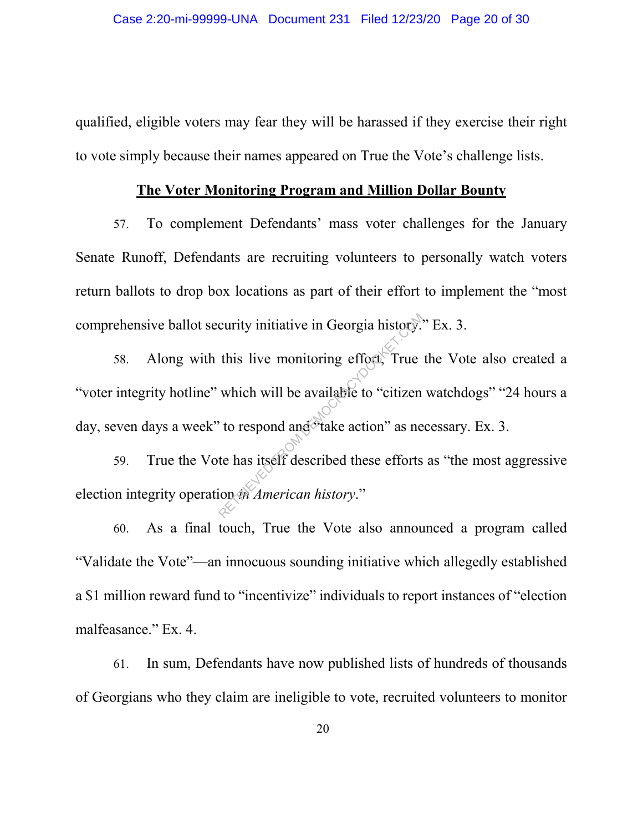qualified, eligible voters may fear they will be harassed if they exercise their right to vote simply because their names appeared on True the Vote's challenge lists.

#### **The Voter Monitoring Program and Million Dollar Bounty**

57. To complement Defendants' mass voter challenges for the January Senate Runoff, Defendants are recruiting volunteers to personally watch voters return ballots to drop box locations as part of their effort to implement the "most comprehensive ballot security initiative in Georgia history." Ex. 3.

58. Along with this live monitoring effort, True the Vote also created a "voter integrity hotline" which will be available to "citizen watchdogs" "24 hours a day, seven days a week" to respond and "take action" as necessary. Ex. 3. curity initiative in Georgia history.<br>
this live monitoring effort, True<br>
which will be available to "citizen"<br>
to respond and take action" as ne<br>
te has itself described these efforts<br>
ion the American history."

59. True the Vote has itself described these efforts as "the most aggressive election integrity operation *in American history*."

60. As a final touch, True the Vote also announced a program called "Validate the Vote"—an innocuous sounding initiative which allegedly established a \$1 million reward fund to "incentivize" individuals to report instances of "election malfeasance." Ex. 4.

61. In sum, Defendants have now published lists of hundreds of thousands of Georgians who they claim are ineligible to vote, recruited volunteers to monitor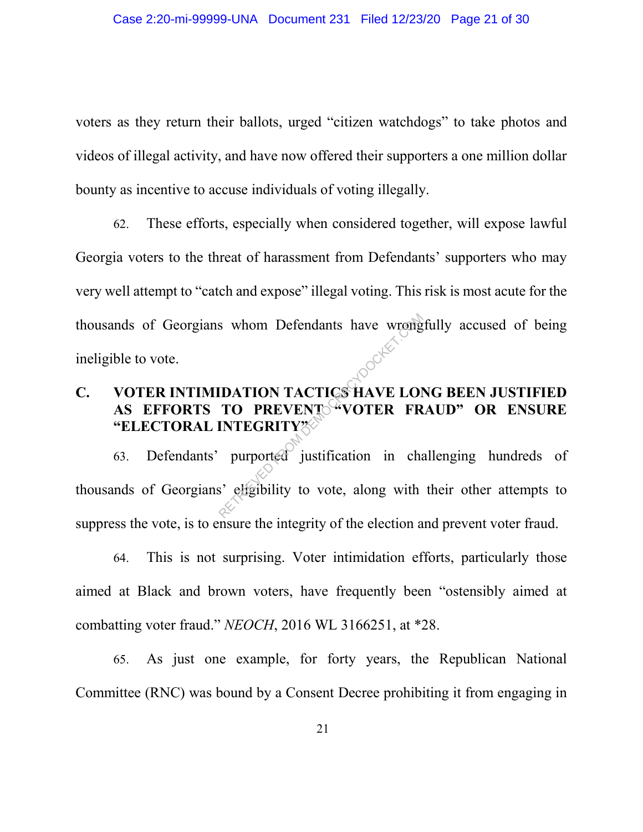voters as they return their ballots, urged "citizen watchdogs" to take photos and videos of illegal activity, and have now offered their supporters a one million dollar bounty as incentive to accuse individuals of voting illegally.

62. These efforts, especially when considered together, will expose lawful Georgia voters to the threat of harassment from Defendants' supporters who may very well attempt to "catch and expose" illegal voting. This risk is most acute for the thousands of Georgians whom Defendants have wrongfully accused of being ineligible to vote.

# **C. VOTER INTIMIDATION TACTICS HAVE LONG BEEN JUSTIFIED**  AS EFFORTS TO PREVENT<sup>4</sup> VOTER FRAUD" OR ENSURE **"ELECTORAL INTEGRITY"**

63. Defendants' purported justification in challenging hundreds of thousands of Georgians' eligibility to vote, along with their other attempts to suppress the vote, is to ensure the integrity of the election and prevent voter fraud. RETRIEVED FROM DEFENDATION TACTICS HAVE LOT<br>
TO PREVENT<sup>OR</sup>VOTER FR<br>
INTEGRITY?<br>
purported justification in character.com<br>
S' eligibility to vote, along with

64. This is not surprising. Voter intimidation efforts, particularly those aimed at Black and brown voters, have frequently been "ostensibly aimed at combatting voter fraud." *NEOCH*, 2016 WL 3166251, at \*28.

65. As just one example, for forty years, the Republican National Committee (RNC) was bound by a Consent Decree prohibiting it from engaging in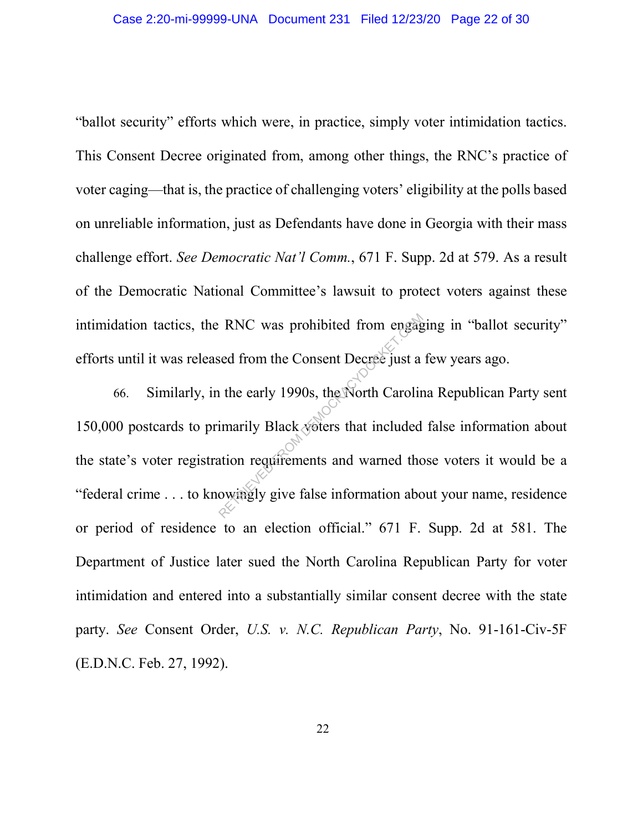"ballot security" efforts which were, in practice, simply voter intimidation tactics. This Consent Decree originated from, among other things, the RNC's practice of voter caging—that is, the practice of challenging voters' eligibility at the polls based on unreliable information, just as Defendants have done in Georgia with their mass challenge effort. *See Democratic Nat'l Comm.*, 671 F. Supp. 2d at 579. As a result of the Democratic National Committee's lawsuit to protect voters against these intimidation tactics, the RNC was prohibited from engaging in "ballot security" efforts until it was released from the Consent Decree just a few years ago.

66. Similarly, in the early 1990s, the North Carolina Republican Party sent 150,000 postcards to primarily Black voters that included false information about the state's voter registration requirements and warned those voters it would be a "federal crime . . . to knowingly give false information about your name, residence or period of residence to an election official." 671 F. Supp. 2d at 581. The Department of Justice later sued the North Carolina Republican Party for voter intimidation and entered into a substantially similar consent decree with the state party. *See* Consent Order, *U.S. v. N.C. Republican Party*, No. 91-161-Civ-5F (E.D.N.C. Feb. 27, 1992). RNC was prohibited from engage<br>
sed from the Consent Decree just a<br>
i the early 1990s, the North Carolin<br>
imarily Black voters that included<br>
ation requirements and warned the<br>
owingly give false information abo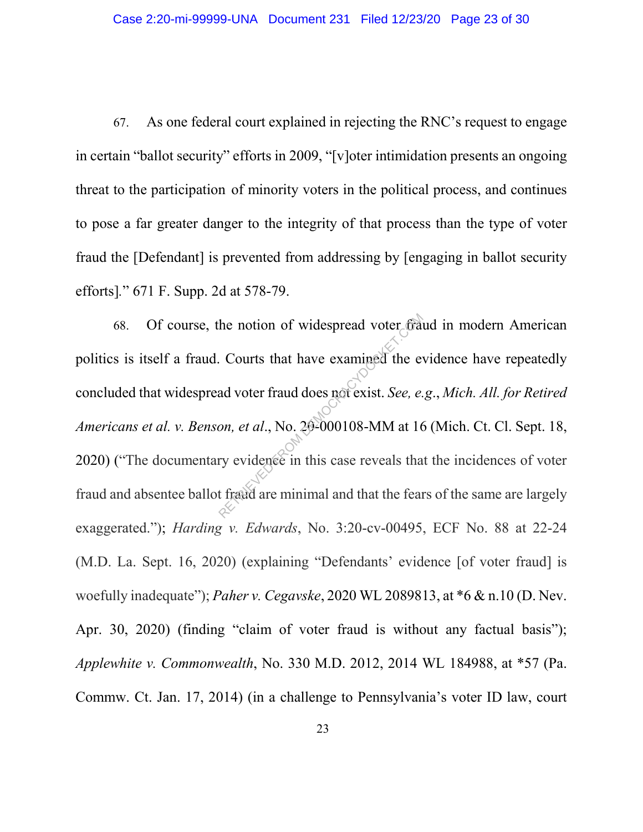67. As one federal court explained in rejecting the RNC's request to engage in certain "ballot security" efforts in 2009, "[v]oter intimidation presents an ongoing threat to the participation of minority voters in the political process, and continues to pose a far greater danger to the integrity of that process than the type of voter fraud the [Defendant] is prevented from addressing by [engaging in ballot security efforts]*.*" 671 F. Supp. 2d at 578-79.

68. Of course, the notion of widespread voter fraud in modern American politics is itself a fraud. Courts that have examined the evidence have repeatedly concluded that widespread voter fraud does not exist. *See, e.g*., *Mich. All. for Retired Americans et al. v. Benson, et al*., No. 20-000108-MM at 16 (Mich. Ct. Cl. Sept. 18, 2020) ("The documentary evidence in this case reveals that the incidences of voter fraud and absentee ballot fraud are minimal and that the fears of the same are largely exaggerated."); *Harding v. Edwards*, No. 3:20-cv-00495, ECF No. 88 at 22-24 (M.D. La. Sept. 16, 2020) (explaining "Defendants' evidence [of voter fraud] is woefully inadequate"); *Paher v. Cegavske*, 2020 WL 2089813, at \*6 & n.10 (D. Nev. Apr. 30, 2020) (finding "claim of voter fraud is without any factual basis"); *Applewhite v. Commonwealth*, No. 330 M.D. 2012, 2014 WL 184988, at \*57 (Pa. Commw. Ct. Jan. 17, 2014) (in a challenge to Pennsylvania's voter ID law, court the notion of widespread voter fraud<br>Courts that have examined the evad voter fraud does not exist. See, e.<br>on, et al., No. 20-000108-MM at 16<br>ry evidence in this case reveals that the feat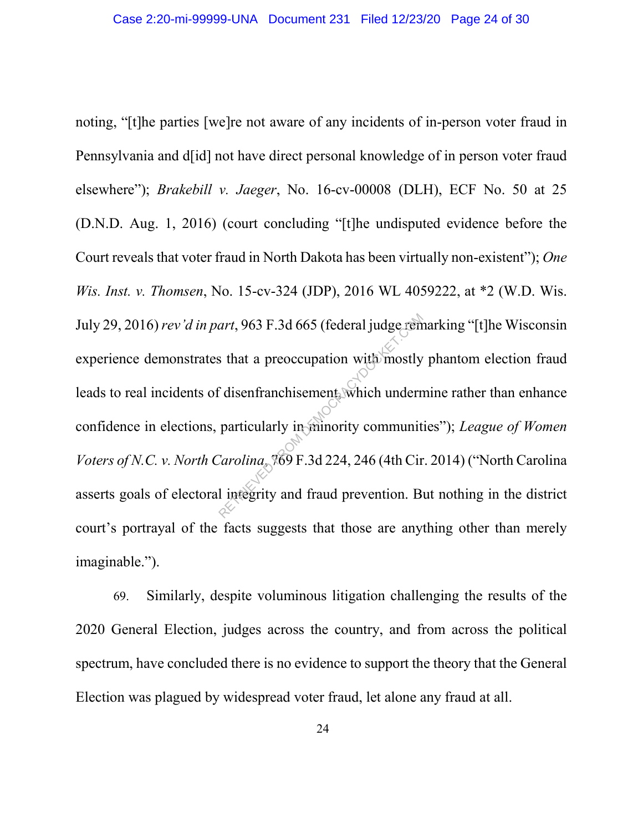noting, "[t]he parties [we]re not aware of any incidents of in-person voter fraud in Pennsylvania and d[id] not have direct personal knowledge of in person voter fraud elsewhere"); *Brakebill v. Jaeger*, No. 16-cv-00008 (DLH), ECF No. 50 at 25 (D.N.D. Aug. 1, 2016) (court concluding "[t]he undisputed evidence before the Court reveals that voter fraud in North Dakota has been virtually non-existent"); *One Wis. Inst. v. Thomsen*, No. 15-cv-324 (JDP), 2016 WL 4059222, at \*2 (W.D. Wis. July 29, 2016) *rev'd in part*, 963 F.3d 665 (federal judge remarking "[t]he Wisconsin experience demonstrates that a preoccupation with mostly phantom election fraud leads to real incidents of disenfranchisement, which undermine rather than enhance confidence in elections, particularly in minority communities"); *League of Women Voters of N.C. v. North Carolina*, 769 F.3d 224, 246 (4th Cir. 2014) ("North Carolina asserts goals of electoral integrity and fraud prevention. But nothing in the district court's portrayal of the facts suggests that those are anything other than merely imaginable."). art, 963 F.3d 665 (federal judge rem<br>
s that a preoccupation with mostly<br>
disenfranchisement which underr<br>
particularly in minority communit<br>
Carolina 769 F.3d 224, 246 (4th Cir<br>
l integrity and fraud prevention. B

69. Similarly, despite voluminous litigation challenging the results of the 2020 General Election, judges across the country, and from across the political spectrum, have concluded there is no evidence to support the theory that the General Election was plagued by widespread voter fraud, let alone any fraud at all.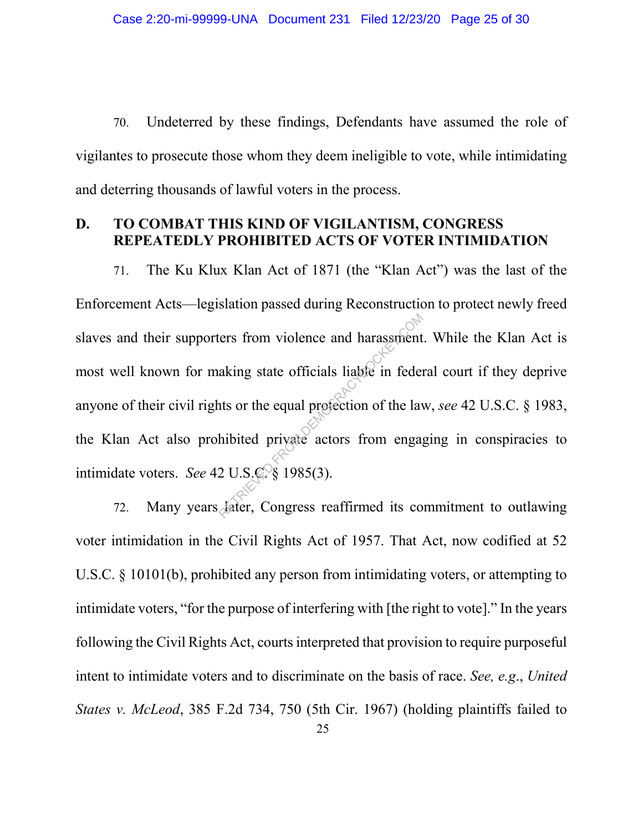70. Undeterred by these findings, Defendants have assumed the role of vigilantes to prosecute those whom they deem ineligible to vote, while intimidating and deterring thousands of lawful voters in the process.

#### **D. TO COMBAT THIS KIND OF VIGILANTISM, CONGRESS REPEATEDLY PROHIBITED ACTS OF VOTER INTIMIDATION**

71. The Ku Klux Klan Act of 1871 (the "Klan Act") was the last of the Enforcement Acts—legislation passed during Reconstruction to protect newly freed slaves and their supporters from violence and harassment. While the Klan Act is most well known for making state officials liable in federal court if they deprive anyone of their civil rights or the equal protection of the law, *see* 42 U.S.C. § 1983, the Klan Act also prohibited private actors from engaging in conspiracies to intimidate voters. *See* 42 U.S.C. § 1985(3). The state officials liable in federation<br>aking state officials liable in federation<br>its or the equal profection of the law<br>hibited private actors from engage<br>2 U.S.C § 1985(3).<br>Aater, Congress reaffirmed its co

72. Many years later, Congress reaffirmed its commitment to outlawing voter intimidation in the Civil Rights Act of 1957. That Act, now codified at 52 U.S.C. § 10101(b), prohibited any person from intimidating voters, or attempting to intimidate voters, "for the purpose of interfering with [the right to vote]." In the years following the Civil Rights Act, courts interpreted that provision to require purposeful intent to intimidate voters and to discriminate on the basis of race. *See, e.g*., *United States v. McLeod*, 385 F.2d 734, 750 (5th Cir. 1967) (holding plaintiffs failed to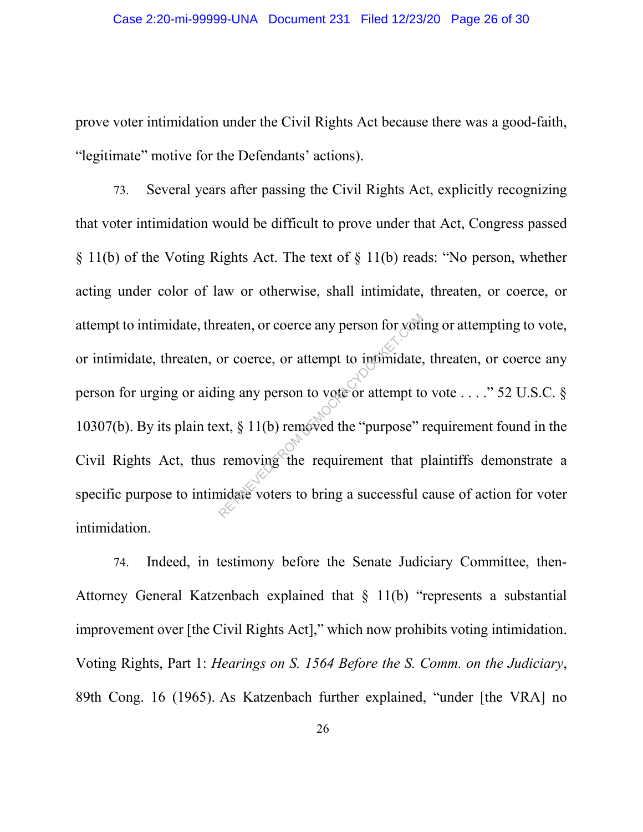prove voter intimidation under the Civil Rights Act because there was a good-faith, "legitimate" motive for the Defendants' actions).

73. Several years after passing the Civil Rights Act, explicitly recognizing that voter intimidation would be difficult to prove under that Act, Congress passed § 11(b) of the Voting Rights Act. The text of § 11(b) reads: "No person, whether acting under color of law or otherwise, shall intimidate, threaten, or coerce, or attempt to intimidate, threaten, or coerce any person for voting or attempting to vote, or intimidate, threaten, or coerce, or attempt to intimidate, threaten, or coerce any person for urging or aiding any person to vote or attempt to vote  $\dots$  ." 52 U.S.C. § 10307(b). By its plain text, § 11(b) removed the "purpose" requirement found in the Civil Rights Act, thus removing the requirement that plaintiffs demonstrate a specific purpose to intimidate voters to bring a successful cause of action for voter intimidation. reaten, or coerce any person for yoti<br>or coerce, or attempt to infimidate,<br>ing any person to vote or attempt to<br>xt, § 11(b) removed the "purpose" removing the requirement that poidate voters to bring a successful

74. Indeed, in testimony before the Senate Judiciary Committee, then-Attorney General Katzenbach explained that § 11(b) "represents a substantial improvement over [the Civil Rights Act]," which now prohibits voting intimidation. Voting Rights, Part 1: *Hearings on S. 1564 Before the S. Comm. on the Judiciary*, 89th Cong. 16 (1965). As Katzenbach further explained, "under [the VRA] no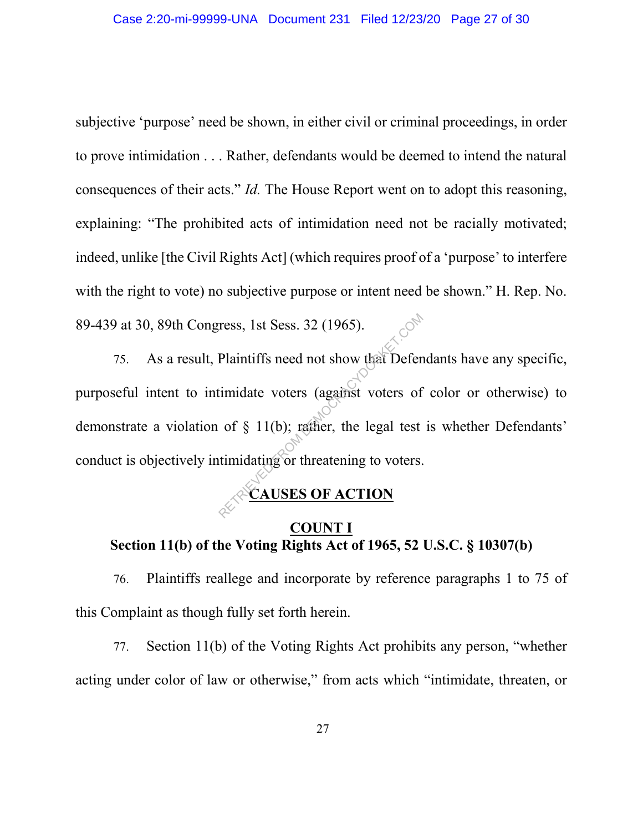subjective 'purpose' need be shown, in either civil or criminal proceedings, in order to prove intimidation . . . Rather, defendants would be deemed to intend the natural consequences of their acts." *Id.* The House Report went on to adopt this reasoning, explaining: "The prohibited acts of intimidation need not be racially motivated; indeed, unlike [the Civil Rights Act] (which requires proof of a 'purpose' to interfere with the right to vote) no subjective purpose or intent need be shown." H. Rep. No. 89-439 at 30, 89th Congress, 1st Sess. 32 (1965).

75. As a result, Plaintiffs need not show that Defendants have any specific, purposeful intent to intimidate voters (against voters of color or otherwise) to demonstrate a violation of § 11(b); rather, the legal test is whether Defendants' conduct is objectively intimidating or threatening to voters. ress, 1st Sess. 32 (1965).<br>Plaintiffs need not show that Defer<br>timidate voters (against voters of<br>of § 11(b); rather, the legal test<br>timidating or threatening to voters.

#### **CAUSES OF ACTION**

## **COUNT I Section 11(b) of the Voting Rights Act of 1965, 52 U.S.C. § 10307(b)**

76. Plaintiffs reallege and incorporate by reference paragraphs 1 to 75 of this Complaint as though fully set forth herein.

77. Section 11(b) of the Voting Rights Act prohibits any person, "whether acting under color of law or otherwise," from acts which "intimidate, threaten, or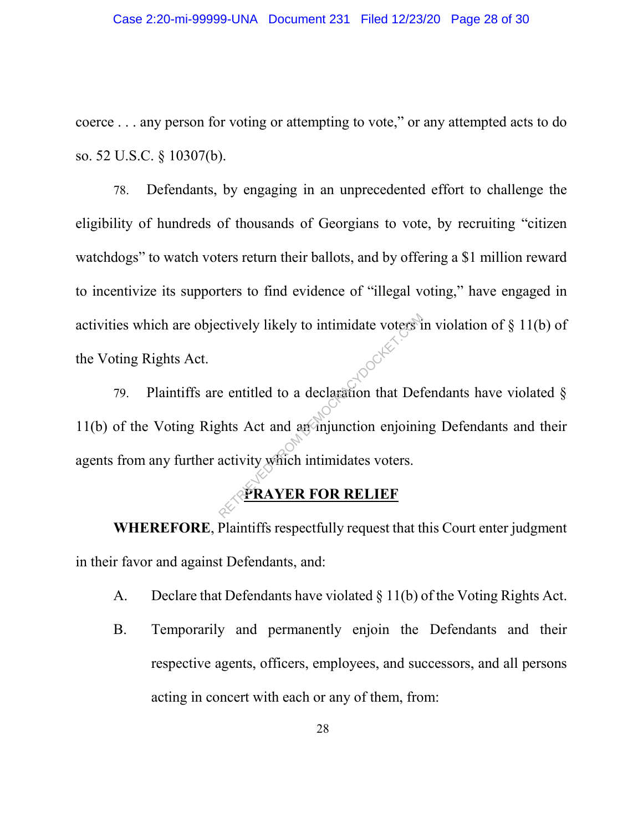coerce . . . any person for voting or attempting to vote," or any attempted acts to do so. 52 U.S.C. § 10307(b).

78. Defendants, by engaging in an unprecedented effort to challenge the eligibility of hundreds of thousands of Georgians to vote, by recruiting "citizen watchdogs" to watch voters return their ballots, and by offering a \$1 million reward to incentivize its supporters to find evidence of "illegal voting," have engaged in activities which are objectively likely to intimidate voters in violation of § 11(b) of the Voting Rights Act.

79. Plaintiffs are entitled to a declaration that Defendants have violated  $\S$ 11(b) of the Voting Rights Act and an injunction enjoining Defendants and their agents from any further activity which intimidates voters. Executively likely to intimidate voters if<br>e entitled to a declaration that Def<br>that Act and an injunction enjoining<br>activity which intimidates voters.

# **PRAYER FOR RELIEF**

**WHEREFORE**, Plaintiffs respectfully request that this Court enter judgment in their favor and against Defendants, and:

- A. Declare that Defendants have violated § 11(b) of the Voting Rights Act.
- B. Temporarily and permanently enjoin the Defendants and their respective agents, officers, employees, and successors, and all persons acting in concert with each or any of them, from: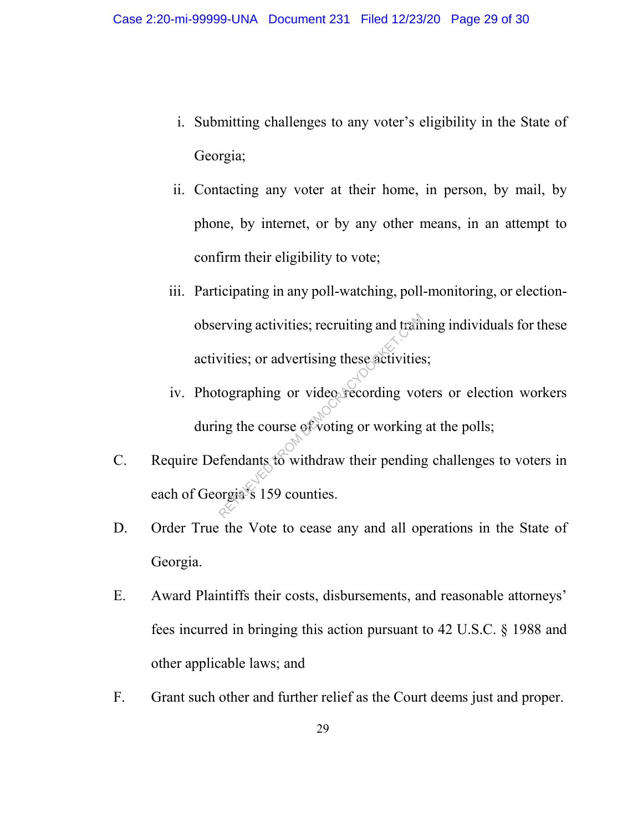- i. Submitting challenges to any voter's eligibility in the State of Georgia;
- ii. Contacting any voter at their home, in person, by mail, by phone, by internet, or by any other means, in an attempt to confirm their eligibility to vote;
- iii. Participating in any poll-watching, poll-monitoring, or electionobserving activities; recruiting and training individuals for these activities; or advertising these activities; Proving activities; recruiting and train<br>vities; or advertising these activities<br>tographing or video recording vot<br>ng the course of voting or working<br>fendants to withdraw their pending<br>prejues 159 counties.
- iv. Photographing or video recording voters or election workers during the course of voting or working at the polls;
- C. Require Defendants to withdraw their pending challenges to voters in each of Georgia's 159 counties.
- D. Order True the Vote to cease any and all operations in the State of Georgia.
- E. Award Plaintiffs their costs, disbursements, and reasonable attorneys' fees incurred in bringing this action pursuant to 42 U.S.C. § 1988 and other applicable laws; and
- F. Grant such other and further relief as the Court deems just and proper.